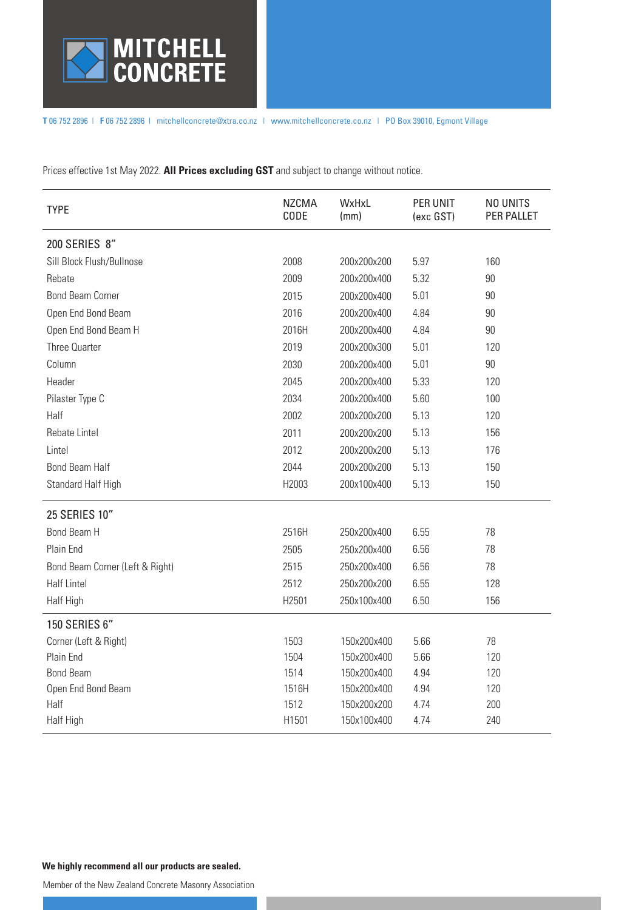

**T** 06 752 2896 | **F** 06 752 2896 | mitchellconcrete@xtra.co.nz | www.mitchellconcrete.co.nz | PO Box 39010, Egmont Village

Prices effective 1st May 2022. **All Prices excluding GST** and subject to change without notice.

| <b>TYPE</b>                     | <b>NZCMA</b><br>CODE | WxHxL<br>(mm) | PER UNIT<br>(exc GST) | NO UNITS<br>PER PALLET |
|---------------------------------|----------------------|---------------|-----------------------|------------------------|
| 200 SERIES 8"                   |                      |               |                       |                        |
| Sill Block Flush/Bullnose       | 2008                 | 200x200x200   | 5.97                  | 160                    |
| Rebate                          | 2009                 | 200x200x400   | 5.32                  | 90                     |
| <b>Bond Beam Corner</b>         | 2015                 | 200x200x400   | 5.01                  | 90                     |
| Open End Bond Beam              | 2016                 | 200x200x400   | 4.84                  | 90                     |
| Open End Bond Beam H            | 2016H                | 200x200x400   | 4.84                  | 90                     |
| Three Quarter                   | 2019                 | 200x200x300   | 5.01                  | 120                    |
| Column                          | 2030                 | 200x200x400   | 5.01                  | $90\,$                 |
| Header                          | 2045                 | 200x200x400   | 5.33                  | 120                    |
| Pilaster Type C                 | 2034                 | 200x200x400   | 5.60                  | 100                    |
| Half                            | 2002                 | 200x200x200   | 5.13                  | 120                    |
| Rebate Lintel                   | 2011                 | 200x200x200   | 5.13                  | 156                    |
| Lintel                          | 2012                 | 200x200x200   | 5.13                  | 176                    |
| <b>Bond Beam Half</b>           | 2044                 | 200x200x200   | 5.13                  | 150                    |
| Standard Half High              | H2003                | 200x100x400   | 5.13                  | 150                    |
| <b>25 SERIES 10"</b>            |                      |               |                       |                        |
| Bond Beam H                     | 2516H                | 250x200x400   | 6.55                  | 78                     |
| Plain End                       | 2505                 | 250x200x400   | 6.56                  | 78                     |
| Bond Beam Corner (Left & Right) | 2515                 | 250x200x400   | 6.56                  | 78                     |
| <b>Half Lintel</b>              | 2512                 | 250x200x200   | 6.55                  | 128                    |
| Half High                       | H2501                | 250x100x400   | 6.50                  | 156                    |
| 150 SERIES 6"                   |                      |               |                       |                        |
| Corner (Left & Right)           | 1503                 | 150x200x400   | 5.66                  | 78                     |
| Plain End                       | 1504                 | 150x200x400   | 5.66                  | 120                    |
| <b>Bond Beam</b>                | 1514                 | 150x200x400   | 4.94                  | 120                    |
| Open End Bond Beam              | 1516H                | 150x200x400   | 4.94                  | 120                    |
| Half                            | 1512                 | 150x200x200   | 4.74                  | 200                    |
| Half High                       | H1501                | 150x100x400   | 4.74                  | 240                    |